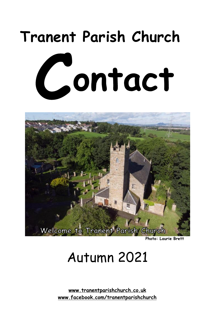# **Tranent Parish Church**  Contact



**Photo: Laurie Brett**

## Autumn 2021

**[www.tranentparishchurch.co.uk](http://www.tranentparishchurch.co.uk) [www.facebook.com/tranentparishchurch](http://www.facebook.com/tranentparishchurch)**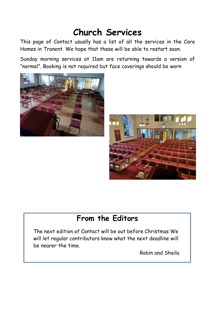#### **Church Services**

This page of Contact usually has a list of all the services in the Care Homes in Tranent. We hope that these will be able to restart soon.

Sunday morning services at 11am are returning towards a version of "normal". Booking is not required but face coverings should be worn





#### **From the Editors**

The next edition of Contact will be out before Christmas We will let regular contributors know what the next deadline will be nearer the time.

Robin and Sheila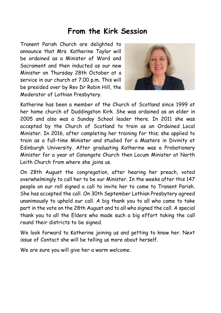#### **From the Kirk Session**

Tranent Parish Church are delighted to announce that Mrs. Katherine Taylor will be ordained as a Minister of Word and Sacrament and then inducted as our new Minister on Thursday 28th October at a service in our church at 7.00 p.m. This will be presided over by Rev Dr Robin Hill, the Moderator of Lothian Presbytery.



Katherine has been a member of the Church of Scotland since 1999 at her home church of Duddingston Kirk. She was ordained as an elder in 2005 and also was a Sunday School leader there. In 2011 she was accepted by the Church of Scotland to train as an Ordained Local Minister. In 2016, after completing her training for this; she applied to train as a full-time Minister and studied for a Masters in Divinity at Edinburgh University. After graduating Katherine was a Probationary Minister for a year at Canongate Church then Locum Minister at North Leith Church from where she joins us.

On 28th August the congregation, after hearing her preach, voted overwhelmingly to call her to be our Minister. In the weeks after this 147 people on our roll signed a call to invite her to come to Tranent Parish. She has accepted the call. On 30th September Lothian Presbytery agreed unanimously to uphold our call. A big thank you to all who came to take part in the vote on the 28th August and to all who signed the call. A special thank you to all the Elders who made such a big effort taking the call round their districts to be signed.

We look forward to Katherine joining us and getting to know her. Next issue of Contact she will be telling us more about herself.

We are sure you will give her a warm welcome.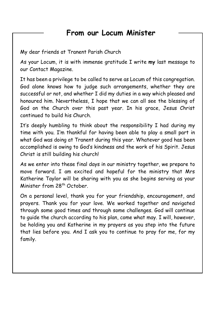#### **From our Locum Minister**

My dear friends at Tranent Parish Church

As your Locum, it is with immense gratitude I write **my** last message to our Contact Magazine.

It has been a privilege to be called to serve as Locum of this congregation. God alone knows how to judge such arrangements, whether they are successful or not, and whether I did my duties in a way which pleased and honoured him. Nevertheless, I hope that we can all see the blessing of God on the Church over this past year. In his grace, Jesus Christ continued to build his Church.

It's deeply humbling to think about the responsibility I had during my time with you. I'm thankful for having been able to play a small part in what God was doing at Tranent during this year. Whatever good has been accomplished is owing to God's kindness and the work of his Spirit. Jesus Christ is still building his church!

As we enter into these final days in our ministry together, we prepare to move forward. I am excited and hopeful for the ministry that Mrs Katherine Taylor will be sharing with you as she begins serving as your Minister from 28<sup>th</sup> October.

On a personal level, thank you for your friendship, encouragement, and prayers. Thank you for your love. We worked together and navigated through some good times and through some challenges. God will continue to guide the church according to his plan, come what may. I will, however, be holding you and Katherine in my prayers as you step into the future that lies before you. And I ask you to continue to pray for me, for my family.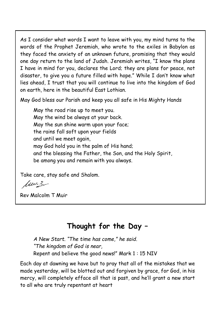As I consider what words I want to leave with you, my mind turns to the words of the Prophet Jeremiah, who wrote to the exiles in Babylon as they faced the anxiety of an unknown future, promising that they would one day return to the land of Judah. Jeremiah writes, "I know the plans I have in mind for you, declares the Lord; they are plans for peace, not disaster, to give you a future filled with hope." While I don't know what lies ahead, I trust that you will continue to live into the kingdom of God on earth, here in the beautiful East Lothian.

May God bless our Parish and keep you all safe in His Mighty Hands

May the road rise up to meet you. May the wind be always at your back. May the sun shine warm upon your face; the rains fall soft upon your fields and until we meet again, may God hold you in the palm of His hand; and the blessing the Father, the Son, and the Holy Spirit, be among you and remain with you always.

Take care, stay safe and Shalom.

fuera

Rev Malcolm T Muir

#### **Thought for the Day –**

*A New Start. "The time has come," he said. "The kingdom of God is near,*  Repent and believe the good news!" Mark 1 : 15 NIV

Each day at dawning we have but to pray that all of the mistakes that we made yesterday, will be blotted out and forgiven by grace, for God, in his mercy, will completely efface all that is past, and he'll grant a new start to all who are truly repentant at heart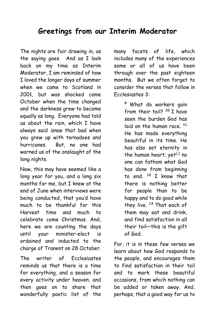#### **Greetings from our Interim Moderator**

The nights are fair drawing in, as the saying goes. And as I look back on my time as Interim Moderator, I am reminded of how I loved the longer days of summer when we came to Scotland in 2001, but was shocked come October when the time changed and the darkness grew to become equally as long. Everyone had told us about the rain, which I have always said *isnae* that bad when you grew up with tornadoes and hurricanes. But, no one had warned us of the onslaught of the long nights.

Now, this may have seemed like a long year for you, and a long six months for me, but I knew at the end of June when interviews were being conducted, that you'd have much to be thankful for this Harvest time and much to celebrate come Christmas. And, here we are counting the days until your minister-elect is ordained and inducted to the charge of Tranent on 28 October.

The writer of Ecclesiastes reminds us that there is a time for everything, and a season for every activity under heaven, and then goes on to share that wonderfully poetic list of the

many facets of life, which includes many of the experiences some or all of us have been through over the past eighteen months. But we often forget to consider the verses that follow in Ecclesiastes 3:

> **<sup>9</sup>**What do workers gain from their toil? **<sup>10</sup>**I have seen the burden God has laid on the human race.<sup>11</sup> He has made everything beautiful in its time. He has also set eternity in the human heart; yet $^{[a]}$  no one can fathom what God has done from beginning to end. **<sup>12</sup>**I know that there is nothing better for people than to be happy and to do good while they live. **<sup>13</sup>**That each of them may eat and drink, and find satisfaction in all their toil—this is the gift of God.

For, it is in these few verses we learn about how God responds to the people, and encourages them to find satisfaction in their toil and to mark these beautiful occasions, from which nothing can be added or taken away. And, perhaps, that a good way for us to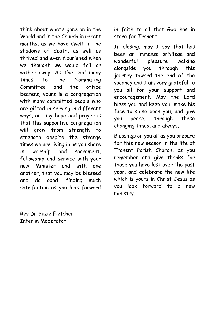think about what's gone on in the World and in the Church in recent months, as we have dwelt in the shadows of death, as well as thrived and even flourished when we thought we would fail or wither away. As I've said many times to the Nominating Committee and the office bearers, yours is a congregation with many committed people who are gifted in serving in different ways, and my hope and prayer is that this supportive congregation will grow from strength to strength despite the strange times we are living in as you share in worship and sacrament, fellowship and service with your new Minister and with one another, that you may be blessed and do good, finding much satisfaction as you look forward

in faith to all that God has in store for Tranent.

In closing, may I say that has been an immense privilege and wonderful pleasure walking alongside you through this journey toward the end of the vacancy and I am very grateful to you all for your support and encouragement. May the Lord bless you and keep you, make his face to shine upon you, and give you peace, through these changing times, and always,

Blessings on you all as you prepare for this new season in the life of Tranent Parish Church, as you remember and give thanks for those you have lost over the past year, and celebrate the new life which is yours in Christ Jesus as you look forward to a new ministry.

Rev Dr Suzie Fletcher Interim Moderator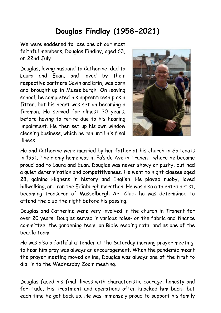#### **Douglas Findlay (1958-2021)**

We were saddened to lose one of our most faithful members, Douglas Findlay, aged 63, on 22nd July.

Douglas, loving husband to Catherine, dad to Laura and Euan, and loved by their respective partners Gavin and Erin, was born and brought up in Musselburgh. On leaving school, he completed his apprenticeship as a fitter, but his heart was set on becoming a fireman. He served for almost 30 years, before having to retire due to his hearing impairment. He then set up his own window cleaning business, which he ran until his final illness.



He and Catherine were married by her father at his church in Saltcoats in 1991. Their only home was in Fa'side Ave in Tranent, where he became proud dad to Laura and Euan. Douglas was never showy or pushy, but had a quiet determination and competitiveness. He went to night classes aged 28, gaining Highers in history and English. He played rugby, loved hillwalking, and ran the Edinburgh marathon. He was also a talented artist, becoming treasurer of Musselburgh Art Club: he was determined to attend the club the night before his passing.

Douglas and Catherine were very involved in the church in Tranent for over 20 years: Douglas served in various roles- on the fabric and finance committee, the gardening team, on Bible reading rota, and as one of the beadle team.

He was also a faithful attender at the Saturday morning prayer meeting: to hear him pray was always an encouragement. When the pandemic meant the prayer meeting moved online, Douglas was always one of the first to dial in to the Wednesday Zoom meeting.

Douglas faced his final illness with characteristic courage, honesty and fortitude. His treatment and operations often knocked him back- but each time he got back up. He was immensely proud to support his family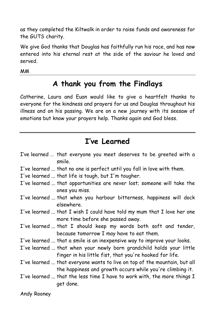as they completed the Kiltwalk in order to raise funds and awareness for the GUTS charity.

We give God thanks that Douglas has faithfully run his race, and has now entered into his eternal rest at the side of the saviour he loved and served.

MM

#### **A thank you from the Findlays**

Catherine, Laura and Euan would like to give a heartfelt thanks to everyone for the kindness and prayers for us and Douglas throughout his illness and on his passing. We are on a new journey with its seesaw of emotions but know your prayers help. Thanks again and God bless.

#### **I've Learned**

| I've learned  that everyone you meet deserves to be greeted with a<br>smile.                                                           |
|----------------------------------------------------------------------------------------------------------------------------------------|
| I've learned  that no one is perfect until you fall in love with them.                                                                 |
| I've learned  that life is tough, but I'm tougher.                                                                                     |
| I've learned  that opportunities are never lost; someone will take the<br>ones you miss.                                               |
| I've learned  that when you harbour bitterness, happiness will dock<br>elsewhere.                                                      |
| I've learned  that I wish I could have told my mum that I love her one<br>more time before she passed away.                            |
| I've learned  that I should keep my words both soft and tender,<br>because tomorrow I may have to eat them.                            |
| I've learned  that a smile is an inexpensive way to improve your looks.                                                                |
| I've learned  that when your newly born grandchild holds your little<br>finger in his little fist, that you're hooked for life.        |
| I've learned  that everyone wants to live on top of the mountain, but all<br>the happiness and growth occurs while you're climbing it. |
| I've learned  that the less time I have to work with, the more things I<br>get done.                                                   |

Andy Rooney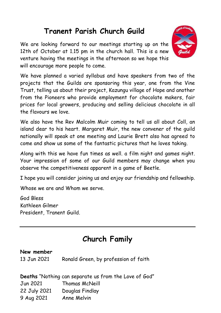#### **Tranent Parish Church Guild**

We are looking forward to our meetings starting up on the 12th of October at 1.15 pm in the church hall. This is a new venture having the meetings in the afternoon so we hope this will encourage more people to come.



We have planned a varied syllabus and have speakers from two of the projects that the Guilds are sponsoring this year, one from the Vine Trust, telling us about their project, Kazungu village of Hope and another from the Pioneers who provide employment for chocolate makers, fair prices for local growers, producing and selling delicious chocolate in all the flavours we love.

We also have the Rev Malcolm Muir coming to tell us all about Coll, an island dear to his heart. Margaret Muir, the new convener of the guild nationally will speak at one meeting and Laurie Brett also has agreed to come and show us some of the fantastic pictures that he loves taking.

Along with this we have fun times as well. a film night and games night. Your impression of some of our Guild members may change when you observe the competitiveness apparent in a game of Beetle.

I hope you will consider joining us and enjoy our friendship and fellowship.

Whose we are and Whom we serve.

God Bless Kathleen Gilmer President, Tranent Guild.

#### **Church Family**

#### **New member**

13 Jun 2021 Ronald Green, by profession of faith

**Deaths** "Nothing can separate us from the Love of God" Jun 2021 Thomas McNeill 22 July 2021 Douglas Findlay 9 Aug 2021 Anne Melvin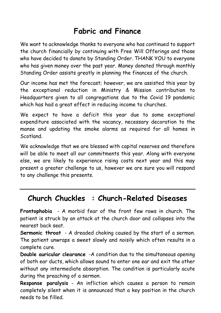#### **Fabric and Finance**

We want to acknowledge thanks to everyone who has continued to support the church financially by continuing with Free Will Offerings and those who have decided to donate by Standing Order. THANK YOU to everyone who has given money over the past year. Money donated through monthly Standing Order assists greatly in planning the finances of the church.

Our income has met the forecast; however, we are assisted this year by the exceptional reduction in Ministry & Mission contribution to Headquarters given to all congregations due to the Covid 19 pandemic which has had a great effect in reducing income to churches.

We expect to have a deficit this year due to some exceptional expenditure associated with the vacancy, necessary decoration to the manse and updating the smoke alarms as required for all homes in Scotland.

We acknowledge that we are blessed with capital reserves and therefore will be able to meet all our commitments this year. Along with everyone else, we are likely to experience rising costs next year and this may present a greater challenge to us, however we are sure you will respond to any challenge this presents.

#### **Church Chuckles : Church-Related Diseases**

**Frontophobia** - A morbid fear of the front few rows in church. The patient is struck by an attack at the church door and collapses into the nearest back seat.

**Sermonic throat** - A dreaded choking caused by the start of a sermon. The patient unwraps a sweet slowly and noisily which often results in a complete cure.

**Double auricular clearance** -A condition due to the simultaneous opening of both ear ducts, which allows sound to enter one ear and exit the other without any intermediate absorption. The condition is particularly acute during the preaching of a sermon.

**Response paralysis** - An infliction which causes a person to remain completely silent when it is announced that a key position in the church needs to be filled.